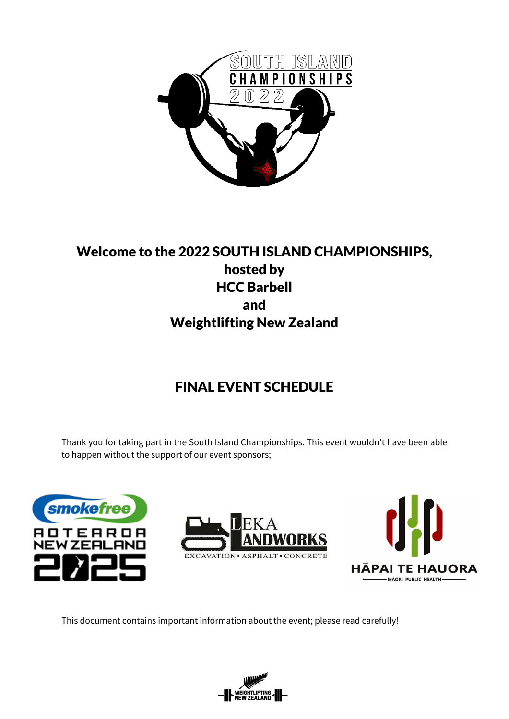

## Welcome to the 2022 SOUTH ISLAND CHAMPIONSHIPS, hosted by HCC Barbell and Weightlifting New Zealand

# FINAL EVENT SCHEDULE

Thank you for taking part in the South Island Championships. This event wouldn't have been able to happen without the support of our event sponsors;







This document contains important information about the event; please read carefully!

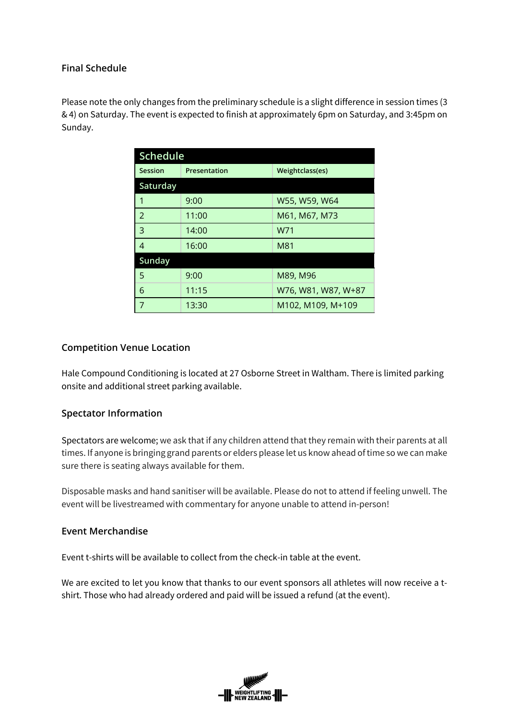## **Final Schedule**

Please note the only changes from the preliminary schedule is a slight difference in session times (3 & 4) on Saturday. The event is expected to finish at approximately 6pm on Saturday, and 3:45pm on Sunday.

| <b>Schedule</b> |              |                     |  |  |  |  |
|-----------------|--------------|---------------------|--|--|--|--|
| Session         | Presentation | Weightclass(es)     |  |  |  |  |
| Saturday        |              |                     |  |  |  |  |
| 1               | 9:00         | W55, W59, W64       |  |  |  |  |
| $\mathcal{P}$   | 11:00        | M61, M67, M73       |  |  |  |  |
| 3               | 14:00        | W71                 |  |  |  |  |
| $\overline{4}$  | 16:00        | M81                 |  |  |  |  |
| Sunday          |              |                     |  |  |  |  |
| 5               | 9:00         | M89, M96            |  |  |  |  |
| 6               | 11:15        | W76, W81, W87, W+87 |  |  |  |  |
| 7               | 13:30        | M102, M109, M+109   |  |  |  |  |

## **Competition Venue Location**

Hale Compound Conditioning is located at 27 Osborne Street in Waltham. There is limited parking onsite and additional street parking available.

## **Spectator Information**

Spectators are welcome; we ask that if any children attend that they remain with their parents at all times. If anyone is bringing grand parents or elders please let us know ahead of time so we can make sure there is seating always available for them.

Disposable masks and hand sanitiser will be available. Please do not to attend if feeling unwell. The event will be livestreamed with commentary for anyone unable to attend in-person!

## **Event Merchandise**

Event t-shirts will be available to collect from the check-in table at the event.

We are excited to let you know that thanks to our event sponsors all athletes will now receive a tshirt. Those who had already ordered and paid will be issued a refund (at the event).

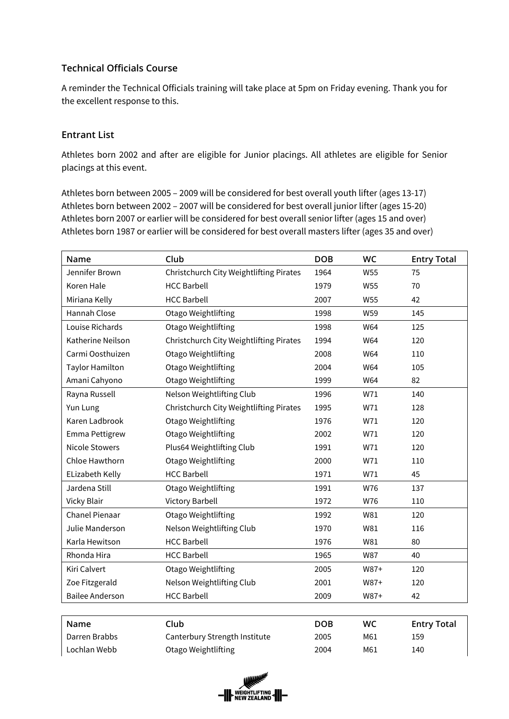## **Technical Officials Course**

A reminder the Technical Officials training will take place at 5pm on Friday evening. Thank you for the excellent response to this.

#### **Entrant List**

Athletes born 2002 and after are eligible for Junior placings. All athletes are eligible for Senior placings at this event.

Athletes born between 2005 – 2009 will be considered for best overall youth lifter (ages 13-17) Athletes born between 2002 – 2007 will be considered for best overall junior lifter (ages 15-20) Athletes born 2007 or earlier will be considered for best overall senior lifter (ages 15 and over) Athletes born 1987 or earlier will be considered for best overall masters lifter (ages 35 and over)

| Name                   | Club                                    | <b>DOB</b> | <b>WC</b> | <b>Entry Total</b> |
|------------------------|-----------------------------------------|------------|-----------|--------------------|
| Jennifer Brown         | Christchurch City Weightlifting Pirates | 1964       | W55       | 75                 |
| Koren Hale             | <b>HCC Barbell</b>                      | 1979       | W55       | 70                 |
| Miriana Kelly          | <b>HCC Barbell</b>                      | 2007       | W55       | 42                 |
| Hannah Close           | Otago Weightlifting                     | 1998       | W59       | 145                |
| Louise Richards        | Otago Weightlifting                     | 1998       | W64       | 125                |
| Katherine Neilson      | Christchurch City Weightlifting Pirates | 1994       | W64       | 120                |
| Carmi Oosthuizen       | Otago Weightlifting                     | 2008       | W64       | 110                |
| <b>Taylor Hamilton</b> | Otago Weightlifting                     | 2004       | W64       | 105                |
| Amani Cahyono          | Otago Weightlifting                     | 1999       | W64       | 82                 |
| Rayna Russell          | Nelson Weightlifting Club               | 1996       | W71       | 140                |
| Yun Lung               | Christchurch City Weightlifting Pirates | 1995       | W71       | 128                |
| Karen Ladbrook         | Otago Weightlifting                     | 1976       | W71       | 120                |
| Emma Pettigrew         | Otago Weightlifting                     | 2002       | W71       | 120                |
| <b>Nicole Stowers</b>  | Plus64 Weightlifting Club               | 1991       | W71       | 120                |
| Chloe Hawthorn         | Otago Weightlifting                     | 2000       | W71       | 110                |
| ELizabeth Kelly        | <b>HCC Barbell</b>                      | 1971       | W71       | 45                 |
| Jardena Still          | Otago Weightlifting                     | 1991       | W76       | 137                |
| <b>Vicky Blair</b>     | <b>Victory Barbell</b>                  | 1972       | W76       | 110                |
| Chanel Pienaar         | Otago Weightlifting                     | 1992       | W81       | 120                |
| Julie Manderson        | Nelson Weightlifting Club               | 1970       | W81       | 116                |
| Karla Hewitson         | <b>HCC Barbell</b>                      | 1976       | W81       | 80                 |
| Rhonda Hira            | <b>HCC Barbell</b>                      | 1965       | W87       | 40                 |
| Kiri Calvert           | Otago Weightlifting                     | 2005       | W87+      | 120                |
| Zoe Fitzgerald         | Nelson Weightlifting Club               | 2001       | W87+      | 120                |
| <b>Bailee Anderson</b> | <b>HCC Barbell</b>                      | 2009       | W87+      | 42                 |
|                        |                                         |            |           |                    |
| Name                   | Club                                    | <b>DOB</b> | <b>WC</b> | <b>Entry Total</b> |
| Darren Brabbs          | Canterbury Strength Institute           | 2005       | M61       | 159                |
| Lochlan Webb           | Otago Weightlifting                     | 2004       | M61       | 140                |

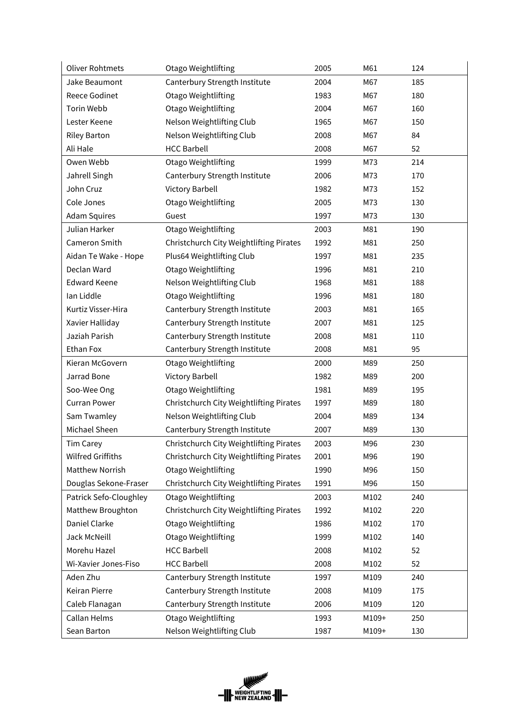| <b>Oliver Rohtmets</b> | Otago Weightlifting                     | 2005 | M61   | 124 |
|------------------------|-----------------------------------------|------|-------|-----|
| Jake Beaumont          | Canterbury Strength Institute           | 2004 | M67   | 185 |
| <b>Reece Godinet</b>   | Otago Weightlifting                     | 1983 | M67   | 180 |
| <b>Torin Webb</b>      | Otago Weightlifting                     | 2004 | M67   | 160 |
| Lester Keene           | Nelson Weightlifting Club               | 1965 | M67   | 150 |
| <b>Riley Barton</b>    | Nelson Weightlifting Club               | 2008 | M67   | 84  |
| Ali Hale               | <b>HCC Barbell</b>                      | 2008 | M67   | 52  |
| Owen Webb              | Otago Weightlifting                     | 1999 | M73   | 214 |
| Jahrell Singh          | Canterbury Strength Institute           | 2006 | M73   | 170 |
| John Cruz              | <b>Victory Barbell</b>                  | 1982 | M73   | 152 |
| Cole Jones             | Otago Weightlifting                     | 2005 | M73   | 130 |
| <b>Adam Squires</b>    | Guest                                   | 1997 | M73   | 130 |
| Julian Harker          | Otago Weightlifting                     | 2003 | M81   | 190 |
| Cameron Smith          | Christchurch City Weightlifting Pirates | 1992 | M81   | 250 |
| Aidan Te Wake - Hope   | Plus64 Weightlifting Club               | 1997 | M81   | 235 |
| Declan Ward            | Otago Weightlifting                     | 1996 | M81   | 210 |
| <b>Edward Keene</b>    | Nelson Weightlifting Club               | 1968 | M81   | 188 |
| Ian Liddle             | Otago Weightlifting                     | 1996 | M81   | 180 |
| Kurtiz Visser-Hira     | Canterbury Strength Institute           | 2003 | M81   | 165 |
| Xavier Halliday        | Canterbury Strength Institute           | 2007 | M81   | 125 |
| Jaziah Parish          | Canterbury Strength Institute           | 2008 | M81   | 110 |
| Ethan Fox              | Canterbury Strength Institute           | 2008 | M81   | 95  |
| Kieran McGovern        | Otago Weightlifting                     | 2000 | M89   | 250 |
| Jarrad Bone            | <b>Victory Barbell</b>                  | 1982 | M89   | 200 |
| Soo-Wee Ong            | Otago Weightlifting                     | 1981 | M89   | 195 |
| <b>Curran Power</b>    | Christchurch City Weightlifting Pirates | 1997 | M89   | 180 |
| Sam Twamley            | Nelson Weightlifting Club               | 2004 | M89   | 134 |
| Michael Sheen          | Canterbury Strength Institute           | 2007 | M89   | 130 |
| <b>Tim Carey</b>       | Christchurch City Weightlifting Pirates | 2003 | M96   | 230 |
| Wilfred Griffiths      | Christchurch City Weightlifting Pirates | 2001 | M96   | 190 |
| Matthew Norrish        | Otago Weightlifting                     | 1990 | M96   | 150 |
| Douglas Sekone-Fraser  | Christchurch City Weightlifting Pirates | 1991 | M96   | 150 |
| Patrick Sefo-Cloughley | Otago Weightlifting                     | 2003 | M102  | 240 |
| Matthew Broughton      | Christchurch City Weightlifting Pirates | 1992 | M102  | 220 |
| Daniel Clarke          | Otago Weightlifting                     | 1986 | M102  | 170 |
| Jack McNeill           | Otago Weightlifting                     | 1999 | M102  | 140 |
| Morehu Hazel           | <b>HCC Barbell</b>                      | 2008 | M102  | 52  |
| Wi-Xavier Jones-Fiso   | <b>HCC Barbell</b>                      | 2008 | M102  | 52  |
| Aden Zhu               | Canterbury Strength Institute           | 1997 | M109  | 240 |
| Keiran Pierre          | Canterbury Strength Institute           | 2008 | M109  | 175 |
| Caleb Flanagan         | Canterbury Strength Institute           | 2006 | M109  | 120 |
| Callan Helms           | Otago Weightlifting                     | 1993 | M109+ | 250 |
| Sean Barton            | Nelson Weightlifting Club               | 1987 | M109+ | 130 |